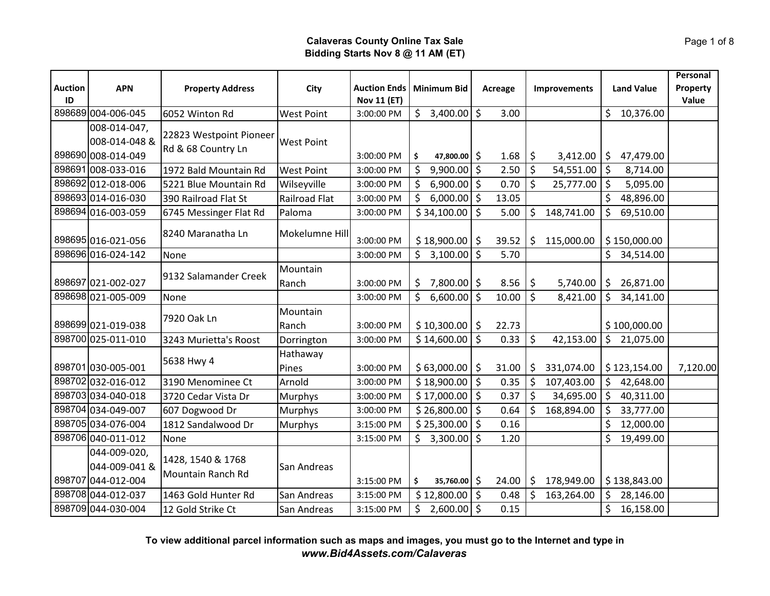| <b>Auction</b> | <b>APN</b>                    | <b>Property Address</b>  | City                 | <b>Auction Ends</b> | <b>Minimum Bid</b>  |         | <b>Acreage</b> |         | Improvements |         | <b>Land Value</b> | Personal<br>Property |
|----------------|-------------------------------|--------------------------|----------------------|---------------------|---------------------|---------|----------------|---------|--------------|---------|-------------------|----------------------|
| ID             |                               |                          |                      | <b>Nov 11 (ET)</b>  |                     |         |                |         |              |         |                   | Value                |
|                | 898689 004-006-045            | 6052 Winton Rd           | <b>West Point</b>    | 3:00:00 PM          | $$3,400.00$ \$      |         | 3.00           |         |              | Ś.      | 10,376.00         |                      |
|                | 008-014-047,                  | 22823 Westpoint Pioneer  |                      |                     |                     |         |                |         |              |         |                   |                      |
|                | 008-014-048 &                 | Rd & 68 Country Ln       | <b>West Point</b>    |                     |                     |         |                |         |              |         |                   |                      |
|                | 898690 008-014-049            |                          |                      | 3:00:00 PM          | 47,800.00 \$<br>\$  |         | 1.68           | $\zeta$ | 3,412.00     | \$      | 47,479.00         |                      |
|                | 898691 008-033-016            | 1972 Bald Mountain Rd    | <b>West Point</b>    | 3:00:00 PM          | $9,900.00$ \$<br>\$ |         | 2.50           | $\zeta$ | 54,551.00    | $\zeta$ | 8,714.00          |                      |
|                | 898692 012-018-006            | 5221 Blue Mountain Rd    | Wilseyville          | 3:00:00 PM          | $6,900.00$ \$<br>\$ |         | 0.70           | $\zeta$ | 25,777.00    | \$      | 5,095.00          |                      |
|                | 898693 014-016-030            | 390 Railroad Flat St     | <b>Railroad Flat</b> | 3:00:00 PM          | \$<br>$6,000.00$ \$ |         | 13.05          |         |              | \$      | 48,896.00         |                      |
|                | 898694 016-003-059            | 6745 Messinger Flat Rd   | Paloma               | 3:00:00 PM          | \$34,100.00         | \$      | 5.00           | \$      | 148,741.00   | \$      | 69,510.00         |                      |
|                | 898695 016-021-056            | 8240 Maranatha Ln        | Mokelumne Hill       | 3:00:00 PM          | \$18,900.00         | \$      | 39.52          | \$      | 115,000.00   |         | \$150,000.00      |                      |
|                | 898696 016-024-142            | None                     |                      | 3:00:00 PM          | \$3,100.00          | \$      | 5.70           |         |              | \$      | 34,514.00         |                      |
|                | 898697 021-002-027            | 9132 Salamander Creek    | Mountain<br>Ranch    | 3:00:00 PM          | $7,800.00$ \$<br>\$ |         | 8.56           | \$      | 5,740.00     | $\zeta$ | 26,871.00         |                      |
|                | 898698 021-005-009            | None                     |                      | 3:00:00 PM          | 6,600.00<br>\$      | \$      | 10.00          | $\zeta$ | 8,421.00     | \$      | 34,141.00         |                      |
|                |                               |                          | Mountain             |                     |                     |         |                |         |              |         |                   |                      |
|                | 898699 021-019-038            | 7920 Oak Ln              | Ranch                | 3:00:00 PM          | $$10,300.00$ \$     |         | 22.73          |         |              |         | \$100,000.00      |                      |
|                | 898700 025-011-010            | 3243 Murietta's Roost    | Dorrington           | 3:00:00 PM          | \$14,600.00         | \$      | 0.33           | \$      | 42,153.00    |         | \$21,075.00       |                      |
|                |                               |                          | Hathaway             |                     |                     |         |                |         |              |         |                   |                      |
|                | 898701 030-005-001            | 5638 Hwy 4               | Pines                | 3:00:00 PM          | $$63,000.00$ \$     |         | 31.00          | \$      | 331,074.00   |         | \$123,154.00      | 7,120.00             |
|                | 898702 032-016-012            | 3190 Menominee Ct        | Arnold               | 3:00:00 PM          | \$18,900.00         | \$      | 0.35           | \$      | 107,403.00   | \$      | 42,648.00         |                      |
|                | 898703 034-040-018            | 3720 Cedar Vista Dr      | <b>Murphys</b>       | 3:00:00 PM          | $$17,000.00$ \$     |         | 0.37           | $\zeta$ | 34,695.00    | $\zeta$ | 40,311.00         |                      |
|                | 898704 034-049-007            | 607 Dogwood Dr           | <b>Murphys</b>       | 3:00:00 PM          | $$26,800.00$ \$     |         | 0.64           | \$      | 168,894.00   | \$      | 33,777.00         |                      |
|                | 898705 034-076-004            | 1812 Sandalwood Dr       | <b>Murphys</b>       | 3:15:00 PM          | \$25,300.00         | \$      | 0.16           |         |              | Ś.      | 12,000.00         |                      |
|                | 898706 040-011-012            | None                     |                      | 3:15:00 PM          | \$3,300.00          | $\zeta$ | 1.20           |         |              | \$      | 19,499.00         |                      |
|                | 044-009-020,<br>044-009-041 & | 1428, 1540 & 1768        | San Andreas          |                     |                     |         |                |         |              |         |                   |                      |
|                | 898707 044-012-004            | <b>Mountain Ranch Rd</b> |                      | 3:15:00 PM          | 35,760.00 \$<br>\$  |         | 24.00          | $\zeta$ | 178,949.00   |         | \$138,843.00      |                      |
|                | 898708 044-012-037            | 1463 Gold Hunter Rd      | San Andreas          | 3:15:00 PM          | $$12,800.00$ $$$    |         | 0.48           | $\zeta$ | 163,264.00   | \$      | 28,146.00         |                      |
|                | 898709 044-030-004            | 12 Gold Strike Ct        | San Andreas          | 3:15:00 PM          | $2,600.00$ \$<br>\$ |         | 0.15           |         |              | \$      | 16,158.00         |                      |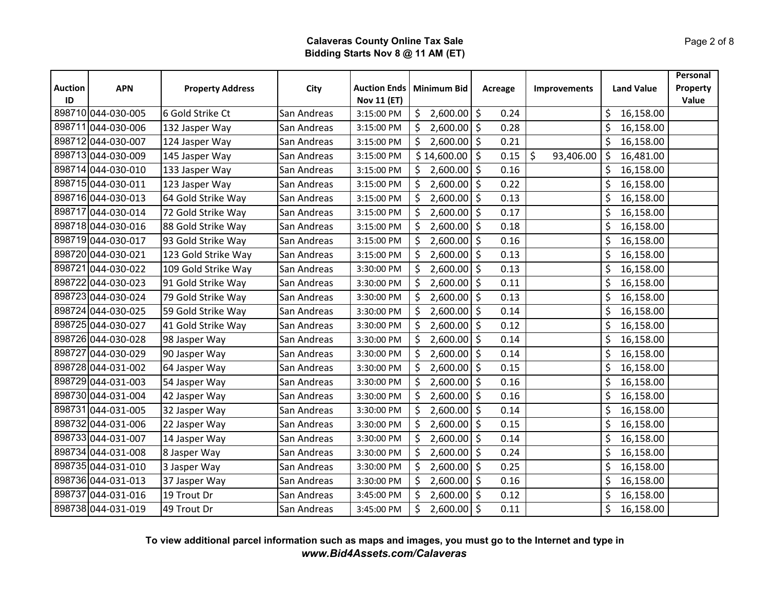|                      |                    |                         |             |                                  |                          |                 |                      |                   | Personal          |
|----------------------|--------------------|-------------------------|-------------|----------------------------------|--------------------------|-----------------|----------------------|-------------------|-------------------|
| <b>Auction</b><br>ID | <b>APN</b>         | <b>Property Address</b> | City        | <b>Auction Ends</b>              | <b>Minimum Bid</b>       | Acreage         | <b>Improvements</b>  | <b>Land Value</b> | Property<br>Value |
|                      | 898710 044-030-005 | 6 Gold Strike Ct        | San Andreas | <b>Nov 11 (ET)</b><br>3:15:00 PM | $\frac{1}{2}$ ,600.00 \$ | 0.24            |                      | \$<br>16,158.00   |                   |
|                      | 898711044-030-006  | 132 Jasper Way          | San Andreas | 3:15:00 PM                       | $2,600.00$ \$<br>\$      | 0.28            |                      | \$<br>16,158.00   |                   |
|                      | 898712 044-030-007 | 124 Jasper Way          | San Andreas | 3:15:00 PM                       | $2,600.00$ \$<br>\$      | 0.21            |                      | \$<br>16,158.00   |                   |
|                      | 898713 044-030-009 | 145 Jasper Way          | San Andreas | 3:15:00 PM                       | $$14,600.00$ $$$         | 0.15            | $\zeta$<br>93,406.00 | \$<br>16,481.00   |                   |
|                      | 898714 044-030-010 | 133 Jasper Way          | San Andreas | 3:15:00 PM                       | \$2,600.00               | $\zeta$<br>0.16 |                      | \$<br>16,158.00   |                   |
|                      | 898715 044-030-011 | 123 Jasper Way          | San Andreas | 3:15:00 PM                       | \$<br>$2,600.00$ \$      | 0.22            |                      | 16,158.00<br>\$   |                   |
|                      | 898716 044-030-013 | 64 Gold Strike Way      | San Andreas | 3:15:00 PM                       | \$<br>$2,600.00$ \$      | 0.13            |                      | \$<br>16,158.00   |                   |
|                      | 898717 044-030-014 | 72 Gold Strike Way      | San Andreas | 3:15:00 PM                       | 2,600.00<br>\$           | 0.17<br>\$      |                      | \$<br>16,158.00   |                   |
|                      | 898718 044-030-016 | 88 Gold Strike Way      | San Andreas | 3:15:00 PM                       | \$<br>$2,600.00$ \$      | 0.18            |                      | \$<br>16,158.00   |                   |
|                      | 898719 044-030-017 | 93 Gold Strike Way      | San Andreas | 3:15:00 PM                       | \$<br>$2,600.00$ \$      | 0.16            |                      | \$<br>16,158.00   |                   |
|                      | 898720 044-030-021 | 123 Gold Strike Way     | San Andreas | 3:15:00 PM                       | 2,600.00<br>\$           | \$<br>0.13      |                      | \$<br>16,158.00   |                   |
|                      | 898721 044-030-022 | 109 Gold Strike Way     | San Andreas | 3:30:00 PM                       | $2,600.00$ \$<br>\$      | 0.13            |                      | \$<br>16,158.00   |                   |
|                      | 898722 044-030-023 | 91 Gold Strike Way      | San Andreas | 3:30:00 PM                       | $2,600.00$ \$<br>\$      | 0.11            |                      | \$<br>16,158.00   |                   |
|                      | 898723 044-030-024 | 79 Gold Strike Way      | San Andreas | 3:30:00 PM                       | \$<br>2,600.00           | \$<br>0.13      |                      | \$<br>16,158.00   |                   |
|                      | 898724 044-030-025 | 59 Gold Strike Way      | San Andreas | 3:30:00 PM                       | \$<br>$2,600.00$ \$      | 0.14            |                      | \$<br>16,158.00   |                   |
|                      | 898725 044-030-027 | 41 Gold Strike Way      | San Andreas | 3:30:00 PM                       | $2,600.00$ \$<br>\$      | 0.12            |                      | \$<br>16,158.00   |                   |
|                      | 898726 044-030-028 | 98 Jasper Way           | San Andreas | 3:30:00 PM                       | Ś.<br>$2,600.00$ \$      | 0.14            |                      | \$<br>16,158.00   |                   |
|                      | 898727 044-030-029 |                         | San Andreas | 3:30:00 PM                       | \$<br>$2,600.00$ \$      | 0.14            |                      | \$<br>16,158.00   |                   |
|                      | 898728 044-031-002 | 90 Jasper Way           |             |                                  |                          |                 |                      |                   |                   |
|                      |                    | 64 Jasper Way           | San Andreas | 3:30:00 PM                       | $2,600.00$ \$<br>\$      | 0.15            |                      | \$<br>16,158.00   |                   |
|                      | 898729 044-031-003 | 54 Jasper Way           | San Andreas | 3:30:00 PM                       | \$<br>$2,600.00$ \$      | 0.16            |                      | \$<br>16,158.00   |                   |
|                      | 898730 044-031-004 | 42 Jasper Way           | San Andreas | 3:30:00 PM                       | \$<br>$2,600.00$ \$      | 0.16            |                      | \$<br>16,158.00   |                   |
|                      | 898731 044-031-005 | 32 Jasper Way           | San Andreas | 3:30:00 PM                       | $2,600.00$ \$<br>\$      | 0.14            |                      | \$<br>16,158.00   |                   |
|                      | 898732 044-031-006 | 22 Jasper Way           | San Andreas | 3:30:00 PM                       | \$<br>$2,600.00$ \$      | 0.15            |                      | \$<br>16,158.00   |                   |
|                      | 898733 044-031-007 | 14 Jasper Way           | San Andreas | 3:30:00 PM                       | $2,600.00$ \$<br>\$      | 0.14            |                      | \$<br>16,158.00   |                   |
|                      | 898734 044-031-008 | 8 Jasper Way            | San Andreas | 3:30:00 PM                       | 2,600.00<br>\$           | 0.24<br>\$      |                      | \$<br>16,158.00   |                   |
|                      | 898735 044-031-010 | 3 Jasper Way            | San Andreas | 3:30:00 PM                       | \$<br>$2,600.00$ \$      | 0.25            |                      | \$<br>16,158.00   |                   |
|                      | 898736 044-031-013 | 37 Jasper Way           | San Andreas | 3:30:00 PM                       | $2,600.00$ \$<br>\$      | 0.16            |                      | \$<br>16,158.00   |                   |
|                      | 898737 044-031-016 | 19 Trout Dr             | San Andreas | 3:45:00 PM                       | \$<br>2,600.00           | $\zeta$<br>0.12 |                      | \$<br>16,158.00   |                   |
|                      | 898738 044-031-019 | 49 Trout Dr             | San Andreas | 3:45:00 PM                       | $2,600.00$ \$<br>\$      | 0.11            |                      | \$<br>16,158.00   |                   |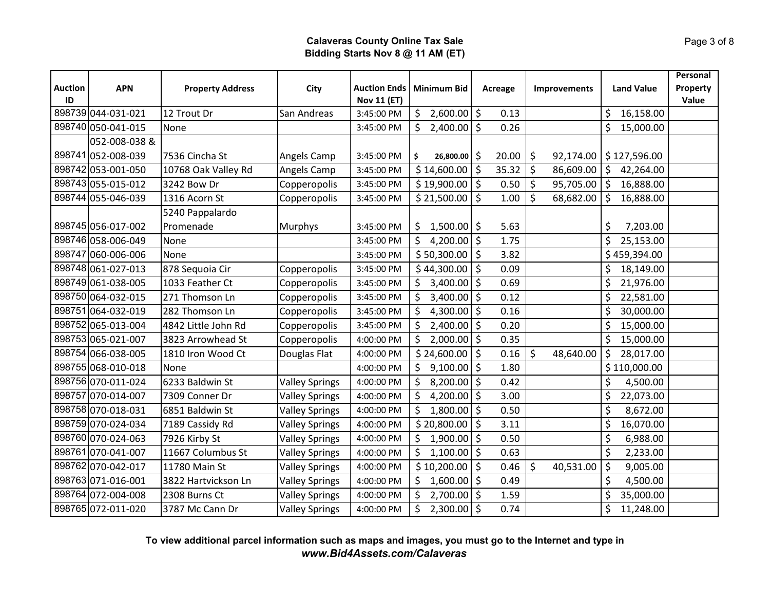|                      |                    |                         |                       |                                           |                                 |                 |                      |                   | Personal          |
|----------------------|--------------------|-------------------------|-----------------------|-------------------------------------------|---------------------------------|-----------------|----------------------|-------------------|-------------------|
| <b>Auction</b><br>ID | <b>APN</b>         | <b>Property Address</b> | City                  | <b>Auction Ends</b><br><b>Nov 11 (ET)</b> | <b>Minimum Bid</b>              | Acreage         | Improvements         | <b>Land Value</b> | Property<br>Value |
|                      | 898739 044-031-021 | 12 Trout Dr             | San Andreas           | 3:45:00 PM                                | $\mathsf{S}^-$<br>$2,600.00$ \$ | 0.13            |                      | \$<br>16,158.00   |                   |
|                      | 898740 050-041-015 | None                    |                       | 3:45:00 PM                                | $2,400.00$ \$<br>\$.            | 0.26            |                      | \$<br>15,000.00   |                   |
|                      | 052-008-038 &      |                         |                       |                                           |                                 |                 |                      |                   |                   |
|                      | 898741 052-008-039 | 7536 Cincha St          | Angels Camp           | 3:45:00 PM                                | \$.<br>26,800.00                | \$<br>20.00     | \$<br>92,174.00      | \$127,596.00      |                   |
|                      | 898742 053-001-050 | 10768 Oak Valley Rd     | Angels Camp           | 3:45:00 PM                                | \$14,600.00                     | 35.32<br>\$     | \$<br>86,609.00      | \$<br>42,264.00   |                   |
|                      | 898743 055-015-012 | 3242 Bow Dr             | Copperopolis          | 3:45:00 PM                                | $$19,900.00$ $$$                | 0.50            | $\zeta$<br>95,705.00 | \$<br>16,888.00   |                   |
|                      | 898744 055-046-039 | 1316 Acorn St           | Copperopolis          | 3:45:00 PM                                | \$21,500.00                     | $\zeta$<br>1.00 | \$<br>68,682.00      | \$<br>16,888.00   |                   |
|                      |                    | 5240 Pappalardo         |                       |                                           |                                 |                 |                      |                   |                   |
|                      | 898745 056-017-002 | Promenade               | <b>Murphys</b>        | 3:45:00 PM                                | $1,500.00$ \$<br>\$             | 5.63            |                      | \$<br>7,203.00    |                   |
|                      | 898746 058-006-049 | None                    |                       | 3:45:00 PM                                | $\zeta$<br>4,200.00 \$          | 1.75            |                      | \$<br>25,153.00   |                   |
|                      | 898747 060-006-006 | None                    |                       | 3:45:00 PM                                | \$50,300.00                     | \$<br>3.82      |                      | \$459,394.00      |                   |
|                      | 898748 061-027-013 | 878 Sequoia Cir         | Copperopolis          | 3:45:00 PM                                | \$44,300.00                     | $\zeta$<br>0.09 |                      | 18,149.00<br>\$   |                   |
|                      | 898749 061-038-005 | 1033 Feather Ct         | Copperopolis          | 3:45:00 PM                                | $3,400.00$ \$<br>$\mathsf{S}^-$ | 0.69            |                      | \$<br>21,976.00   |                   |
|                      | 898750 064-032-015 | 271 Thomson Ln          | Copperopolis          | 3:45:00 PM                                | \$<br>3,400.00                  | \$<br>0.12      |                      | \$<br>22,581.00   |                   |
|                      | 898751064-032-019  | 282 Thomson Ln          | Copperopolis          | 3:45:00 PM                                | 4,300.00 $\vert$ \$<br>\$       | 0.16            |                      | \$<br>30,000.00   |                   |
|                      | 898752 065-013-004 | 4842 Little John Rd     | Copperopolis          | 3:45:00 PM                                | $2,400.00$ \$<br>\$             | 0.20            |                      | \$<br>15,000.00   |                   |
|                      | 898753 065-021-007 | 3823 Arrowhead St       | Copperopolis          | 4:00:00 PM                                | \$<br>$2,000.00$ \$             | 0.35            |                      | \$<br>15,000.00   |                   |
|                      | 898754 066-038-005 | 1810 Iron Wood Ct       | Douglas Flat          | 4:00:00 PM                                | \$24,600.00                     | $\zeta$<br>0.16 | \$<br>48,640.00      | \$<br>28,017.00   |                   |
|                      | 898755 068-010-018 | None                    |                       | 4:00:00 PM                                | 9,100.00<br>$\mathsf{S}^-$      | \$<br>1.80      |                      | \$110,000.00      |                   |
|                      | 898756 070-011-024 | 6233 Baldwin St         | <b>Valley Springs</b> | 4:00:00 PM                                | $8,200.00$ \$<br>\$             | 0.42            |                      | \$<br>4,500.00    |                   |
|                      | 898757 070-014-007 | 7309 Conner Dr          | <b>Valley Springs</b> | 4:00:00 PM                                | \$<br>4,200.00 $\vert$ \$       | 3.00            |                      | \$<br>22,073.00   |                   |
|                      | 898758 070-018-031 | 6851 Baldwin St         | <b>Valley Springs</b> | 4:00:00 PM                                | \$<br>$1,800.00$ \$             | 0.50            |                      | \$<br>8,672.00    |                   |
|                      | 898759 070-024-034 | 7189 Cassidy Rd         | <b>Valley Springs</b> | 4:00:00 PM                                | $$20,800.00$ \$                 | 3.11            |                      | \$<br>16,070.00   |                   |
|                      | 898760 070-024-063 | 7926 Kirby St           | <b>Valley Springs</b> | 4:00:00 PM                                | $1,900.00$ \$<br>$\zeta$        | 0.50            |                      | \$<br>6,988.00    |                   |
|                      | 898761 070-041-007 | 11667 Columbus St       | <b>Valley Springs</b> | 4:00:00 PM                                | 1,100.00<br>\$                  | \$<br>0.63      |                      | \$<br>2,233.00    |                   |
|                      | 898762 070-042-017 | 11780 Main St           | <b>Valley Springs</b> | 4:00:00 PM                                | $$10,200.00$ \$                 | 0.46            | \$<br>40,531.00      | \$<br>9,005.00    |                   |
|                      | 898763 071-016-001 | 3822 Hartvickson Ln     | <b>Valley Springs</b> | 4:00:00 PM                                | $1,600.00$ \$<br>$\mathsf{S}^-$ | 0.49            |                      | \$<br>4,500.00    |                   |
|                      | 898764 072-004-008 | 2308 Burns Ct           | <b>Valley Springs</b> | 4:00:00 PM                                | Ŝ.<br>2,700.00                  | $\zeta$<br>1.59 |                      | \$<br>35,000.00   |                   |
|                      | 898765 072-011-020 | 3787 Mc Cann Dr         | <b>Valley Springs</b> | 4:00:00 PM                                | \$<br>$2,300.00$ \$             | 0.74            |                      | \$<br>11,248.00   |                   |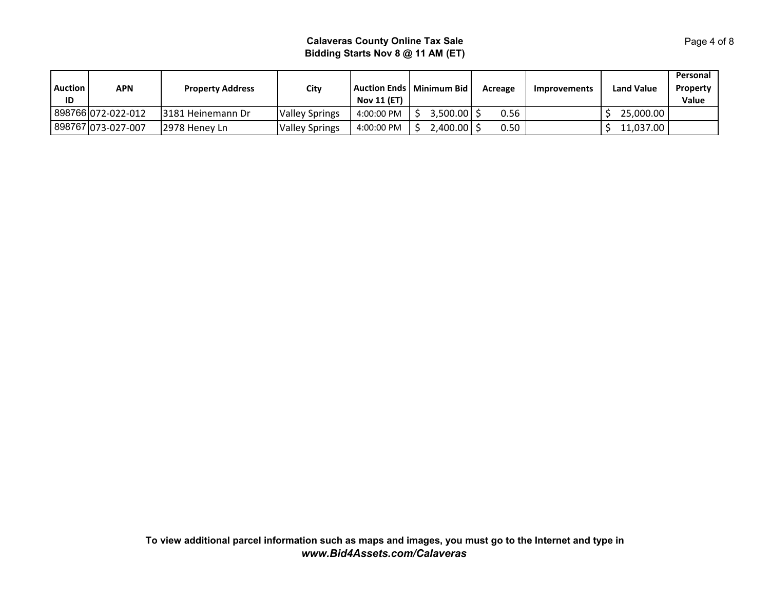| Auction  <br>ID | APN                | <b>Property Address</b> | City                  | <b>Nov 11 (ET)</b> | <b>Auction Ends   Minimum Bid I</b> | Acreage | <b>Improvements</b> | <b>Land Value</b> | Personal<br>Property<br>Value |
|-----------------|--------------------|-------------------------|-----------------------|--------------------|-------------------------------------|---------|---------------------|-------------------|-------------------------------|
|                 | 898766 072-022-012 | 13181 Heinemann Dr      | <b>Valley Springs</b> | 4:00:00 PM         | $3,500.00$ .                        | 0.56    |                     | 25,000.00         |                               |
|                 | 898767 073-027-007 | 12978 Henev Ln          | <b>Valley Springs</b> | 4:00:00 PM         | 2,400.00                            | 0.50    |                     | 11,037.00         |                               |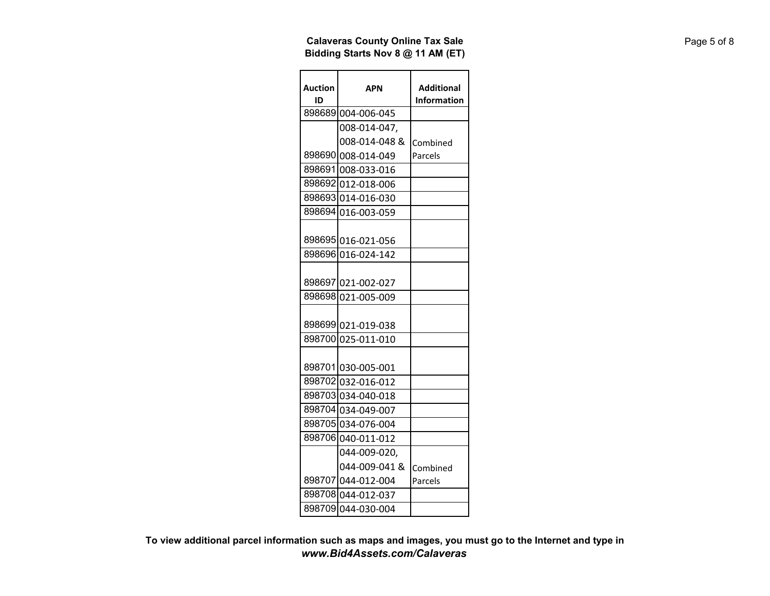| <b>Auction</b><br>ID | APN                                      | <b>Additional</b><br>Information |
|----------------------|------------------------------------------|----------------------------------|
|                      | 898689 004-006-045                       |                                  |
|                      | 008-014-047,                             |                                  |
|                      | 008-014-048 &                            | Combined                         |
|                      | 898690 008-014-049                       | Parcels                          |
|                      | 898691 008-033-016                       |                                  |
|                      | 898692 012-018-006                       |                                  |
|                      | 898693 014-016-030                       |                                  |
|                      | 898694 016-003-059                       |                                  |
|                      | 898695 016-021-056                       |                                  |
|                      | 898696 016-024-142                       |                                  |
|                      | 898697 021-002-027                       |                                  |
|                      | 898698 021-005-009                       |                                  |
|                      | 898699 021-019-038<br>898700 025-011-010 |                                  |
|                      | 898701 030-005-001                       |                                  |
|                      | 898702 032-016-012                       |                                  |
|                      | 898703 034-040-018                       |                                  |
|                      | 898704 034-049-007                       |                                  |
|                      | 898705 034-076-004                       |                                  |
|                      | 898706 040-011-012                       |                                  |
|                      | 044-009-020.                             |                                  |
|                      | 044-009-041 &                            | Combined                         |
|                      | 898707 044-012-004                       | Parcels                          |
|                      | 898708 044-012-037                       |                                  |
|                      | 898709 044-030-004                       |                                  |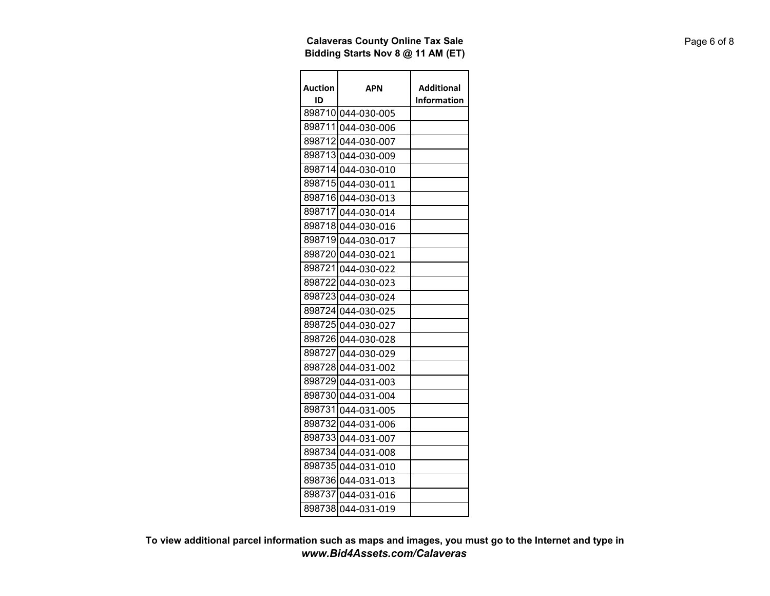| Auction<br>ID | APN                | Additional<br>Information |
|---------------|--------------------|---------------------------|
|               | 898710 044-030-005 |                           |
|               | 898711 044-030-006 |                           |
|               | 898712 044-030-007 |                           |
|               | 898713 044-030-009 |                           |
|               | 898714 044-030-010 |                           |
|               | 898715 044-030-011 |                           |
|               | 898716 044-030-013 |                           |
|               | 898717 044-030-014 |                           |
|               | 898718 044-030-016 |                           |
|               | 898719 044-030-017 |                           |
|               | 8987201044-030-021 |                           |
|               | 898721 044-030-022 |                           |
|               | 898722 044-030-023 |                           |
|               | 8987231044-030-024 |                           |
|               | 898724 044-030-025 |                           |
|               | 898725 044-030-027 |                           |
|               | 898726 044-030-028 |                           |
|               | 898727 044-030-029 |                           |
|               | 898728 044-031-002 |                           |
|               | 898729 044-031-003 |                           |
|               | 898730 044-031-004 |                           |
|               | 898731 044-031-005 |                           |
|               | 8987321044-031-006 |                           |
|               | 898733 044-031-007 |                           |
|               | 898734 044-031-008 |                           |
|               | 898735 044-031-010 |                           |
|               | 898736 044-031-013 |                           |
| 8987371       | 044-031-016        |                           |
|               | 898738 044-031-019 |                           |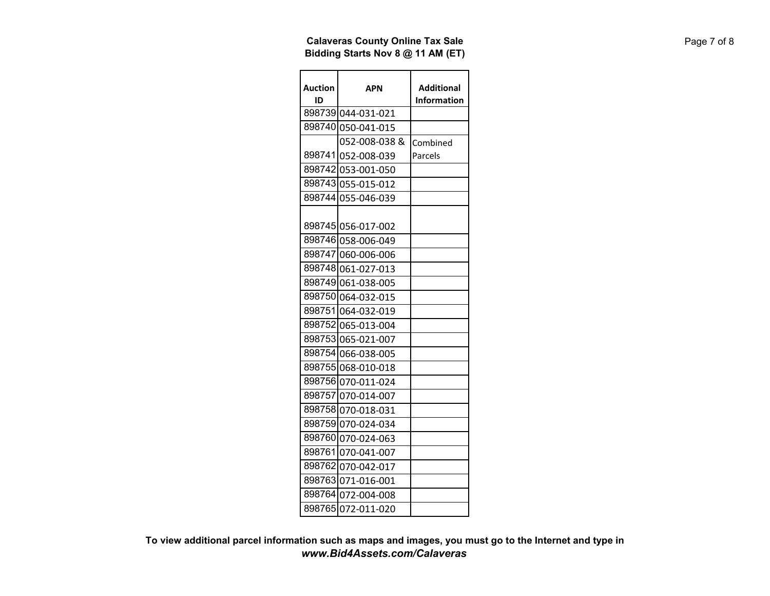| <b>Auction</b><br>ID | APN                | <b>Additional</b><br>Information |
|----------------------|--------------------|----------------------------------|
|                      | 898739 044-031-021 |                                  |
|                      | 898740 050-041-015 |                                  |
|                      | 052-008-038 &      | Combined                         |
|                      | 898741 052-008-039 | Parcels                          |
|                      | 898742 053-001-050 |                                  |
|                      | 898743 055-015-012 |                                  |
|                      | 898744 055-046-039 |                                  |
|                      | 898745 056-017-002 |                                  |
|                      | 898746 058-006-049 |                                  |
|                      | 898747 060-006-006 |                                  |
|                      | 898748 061-027-013 |                                  |
|                      | 898749 061-038-005 |                                  |
|                      | 898750 064-032-015 |                                  |
|                      | 898751 064-032-019 |                                  |
|                      | 898752 065-013-004 |                                  |
|                      | 898753 065-021-007 |                                  |
|                      | 898754 066-038-005 |                                  |
|                      | 898755 068-010-018 |                                  |
|                      | 898756 070-011-024 |                                  |
|                      | 898757 070-014-007 |                                  |
|                      | 898758 070-018-031 |                                  |
|                      | 898759 070-024-034 |                                  |
|                      | 898760 070-024-063 |                                  |
|                      | 898761 070-041-007 |                                  |
|                      | 898762 070-042-017 |                                  |
|                      | 898763 071-016-001 |                                  |
|                      | 898764 072-004-008 |                                  |
|                      | 898765 072-011-020 |                                  |